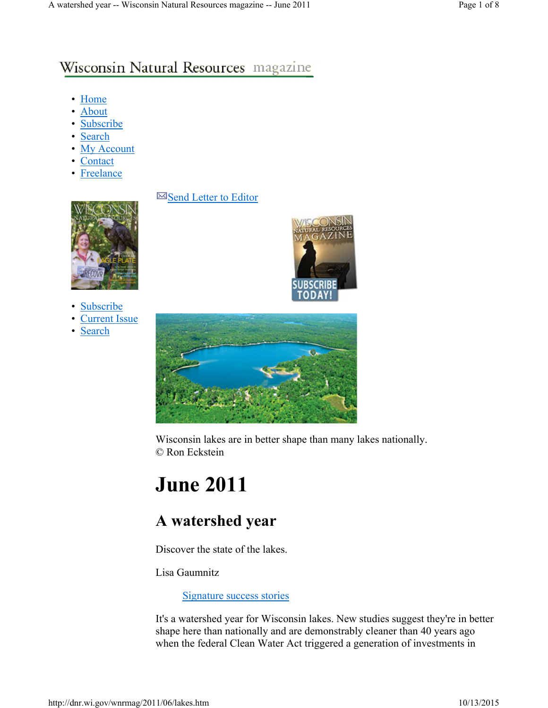## Wisconsin Natural Resources magazine

- Home
- About
- Subscribe
- Search
- My Account
- Contact
- Freelance

#### $\boxtimes$  Send Letter to Editor



- **Subscribe**
- **Current Issue**
- Search





Wisconsin lakes are in better shape than many lakes nationally. © Ron Eckstein

# **June 2011**

# **A watershed year**

Discover the state of the lakes.

Lisa Gaumnitz

Signature success stories

It's a watershed year for Wisconsin lakes. New studies suggest they're in better shape here than nationally and are demonstrably cleaner than 40 years ago when the federal Clean Water Act triggered a generation of investments in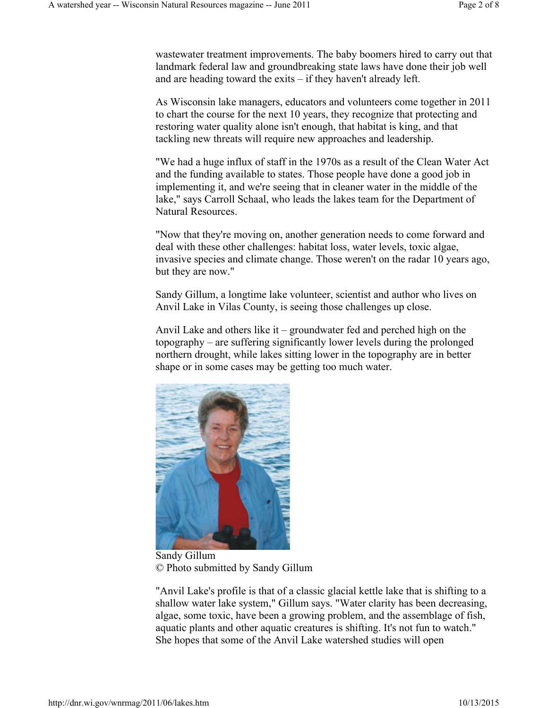wastewater treatment improvements. The baby boomers hired to carry out that landmark federal law and groundbreaking state laws have done their job well and are heading toward the exits – if they haven't already left.

As Wisconsin lake managers, educators and volunteers come together in 2011 to chart the course for the next 10 years, they recognize that protecting and restoring water quality alone isn't enough, that habitat is king, and that tackling new threats will require new approaches and leadership.

"We had a huge influx of staff in the 1970s as a result of the Clean Water Act and the funding available to states. Those people have done a good job in implementing it, and we're seeing that in cleaner water in the middle of the lake," says Carroll Schaal, who leads the lakes team for the Department of Natural Resources.

"Now that they're moving on, another generation needs to come forward and deal with these other challenges: habitat loss, water levels, toxic algae, invasive species and climate change. Those weren't on the radar 10 years ago, but they are now."

Sandy Gillum, a longtime lake volunteer, scientist and author who lives on Anvil Lake in Vilas County, is seeing those challenges up close.

Anvil Lake and others like it – groundwater fed and perched high on the topography – are suffering significantly lower levels during the prolonged northern drought, while lakes sitting lower in the topography are in better shape or in some cases may be getting too much water.



Sandy Gillum © Photo submitted by Sandy Gillum

"Anvil Lake's profile is that of a classic glacial kettle lake that is shifting to a shallow water lake system," Gillum says. "Water clarity has been decreasing, algae, some toxic, have been a growing problem, and the assemblage of fish, aquatic plants and other aquatic creatures is shifting. It's not fun to watch." She hopes that some of the Anvil Lake watershed studies will open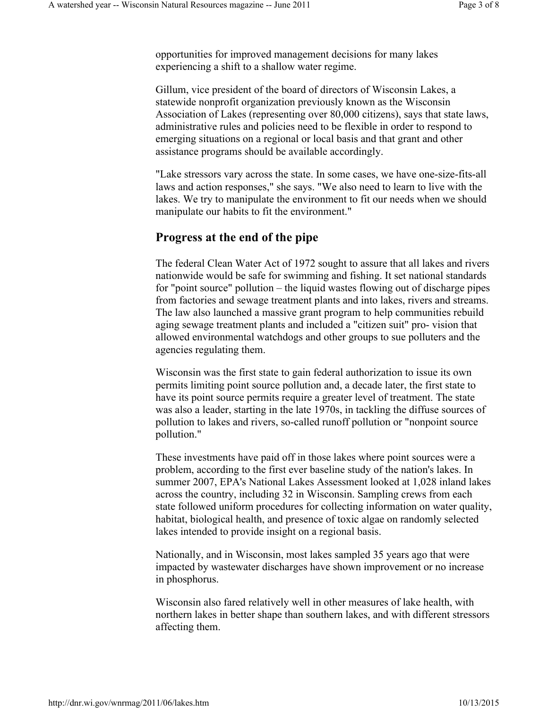opportunities for improved management decisions for many lakes experiencing a shift to a shallow water regime.

Gillum, vice president of the board of directors of Wisconsin Lakes, a statewide nonprofit organization previously known as the Wisconsin Association of Lakes (representing over 80,000 citizens), says that state laws, administrative rules and policies need to be flexible in order to respond to emerging situations on a regional or local basis and that grant and other assistance programs should be available accordingly.

"Lake stressors vary across the state. In some cases, we have one-size-fits-all laws and action responses," she says. "We also need to learn to live with the lakes. We try to manipulate the environment to fit our needs when we should manipulate our habits to fit the environment."

#### **Progress at the end of the pipe**

The federal Clean Water Act of 1972 sought to assure that all lakes and rivers nationwide would be safe for swimming and fishing. It set national standards for "point source" pollution – the liquid wastes flowing out of discharge pipes from factories and sewage treatment plants and into lakes, rivers and streams. The law also launched a massive grant program to help communities rebuild aging sewage treatment plants and included a "citizen suit" pro- vision that allowed environmental watchdogs and other groups to sue polluters and the agencies regulating them.

Wisconsin was the first state to gain federal authorization to issue its own permits limiting point source pollution and, a decade later, the first state to have its point source permits require a greater level of treatment. The state was also a leader, starting in the late 1970s, in tackling the diffuse sources of pollution to lakes and rivers, so-called runoff pollution or "nonpoint source pollution."

These investments have paid off in those lakes where point sources were a problem, according to the first ever baseline study of the nation's lakes. In summer 2007, EPA's National Lakes Assessment looked at 1,028 inland lakes across the country, including 32 in Wisconsin. Sampling crews from each state followed uniform procedures for collecting information on water quality, habitat, biological health, and presence of toxic algae on randomly selected lakes intended to provide insight on a regional basis.

Nationally, and in Wisconsin, most lakes sampled 35 years ago that were impacted by wastewater discharges have shown improvement or no increase in phosphorus.

Wisconsin also fared relatively well in other measures of lake health, with northern lakes in better shape than southern lakes, and with different stressors affecting them.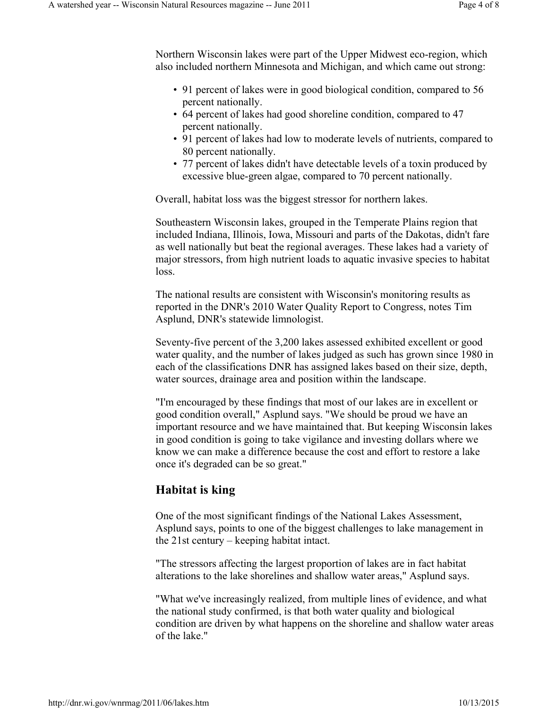Northern Wisconsin lakes were part of the Upper Midwest eco-region, which also included northern Minnesota and Michigan, and which came out strong:

- 91 percent of lakes were in good biological condition, compared to 56 percent nationally.
- 64 percent of lakes had good shoreline condition, compared to 47 percent nationally.
- 91 percent of lakes had low to moderate levels of nutrients, compared to 80 percent nationally.
- 77 percent of lakes didn't have detectable levels of a toxin produced by excessive blue-green algae, compared to 70 percent nationally.

Overall, habitat loss was the biggest stressor for northern lakes.

Southeastern Wisconsin lakes, grouped in the Temperate Plains region that included Indiana, Illinois, Iowa, Missouri and parts of the Dakotas, didn't fare as well nationally but beat the regional averages. These lakes had a variety of major stressors, from high nutrient loads to aquatic invasive species to habitat loss.

The national results are consistent with Wisconsin's monitoring results as reported in the DNR's 2010 Water Quality Report to Congress, notes Tim Asplund, DNR's statewide limnologist.

Seventy-five percent of the 3,200 lakes assessed exhibited excellent or good water quality, and the number of lakes judged as such has grown since 1980 in each of the classifications DNR has assigned lakes based on their size, depth, water sources, drainage area and position within the landscape.

"I'm encouraged by these findings that most of our lakes are in excellent or good condition overall," Asplund says. "We should be proud we have an important resource and we have maintained that. But keeping Wisconsin lakes in good condition is going to take vigilance and investing dollars where we know we can make a difference because the cost and effort to restore a lake once it's degraded can be so great."

### **Habitat is king**

One of the most significant findings of the National Lakes Assessment, Asplund says, points to one of the biggest challenges to lake management in the 21st century – keeping habitat intact.

"The stressors affecting the largest proportion of lakes are in fact habitat alterations to the lake shorelines and shallow water areas," Asplund says.

"What we've increasingly realized, from multiple lines of evidence, and what the national study confirmed, is that both water quality and biological condition are driven by what happens on the shoreline and shallow water areas of the lake."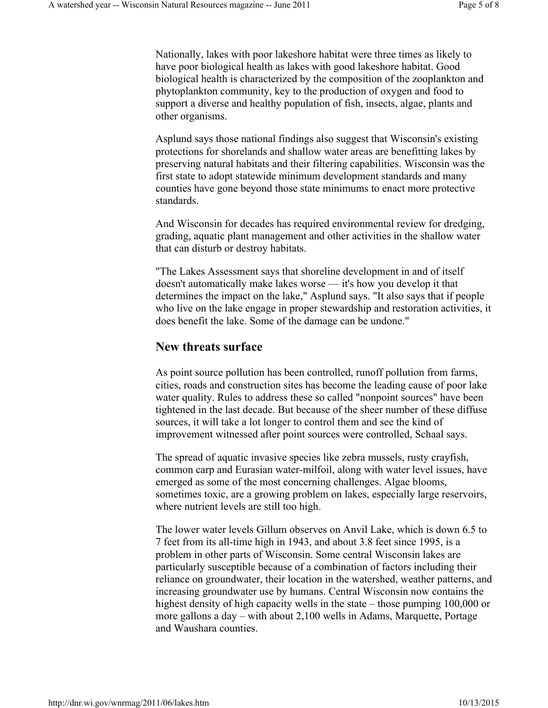Nationally, lakes with poor lakeshore habitat were three times as likely to have poor biological health as lakes with good lakeshore habitat. Good biological health is characterized by the composition of the zooplankton and phytoplankton community, key to the production of oxygen and food to support a diverse and healthy population of fish, insects, algae, plants and other organisms.

Asplund says those national findings also suggest that Wisconsin's existing protections for shorelands and shallow water areas are benefitting lakes by preserving natural habitats and their filtering capabilities. Wisconsin was the first state to adopt statewide minimum development standards and many counties have gone beyond those state minimums to enact more protective standards.

And Wisconsin for decades has required environmental review for dredging, grading, aquatic plant management and other activities in the shallow water that can disturb or destroy habitats.

"The Lakes Assessment says that shoreline development in and of itself doesn't automatically make lakes worse — it's how you develop it that determines the impact on the lake," Asplund says. "It also says that if people who live on the lake engage in proper stewardship and restoration activities, it does benefit the lake. Some of the damage can be undone."

#### **New threats surface**

As point source pollution has been controlled, runoff pollution from farms, cities, roads and construction sites has become the leading cause of poor lake water quality. Rules to address these so called "nonpoint sources" have been tightened in the last decade. But because of the sheer number of these diffuse sources, it will take a lot longer to control them and see the kind of improvement witnessed after point sources were controlled, Schaal says.

The spread of aquatic invasive species like zebra mussels, rusty crayfish, common carp and Eurasian water-milfoil, along with water level issues, have emerged as some of the most concerning challenges. Algae blooms, sometimes toxic, are a growing problem on lakes, especially large reservoirs, where nutrient levels are still too high.

The lower water levels Gillum observes on Anvil Lake, which is down 6.5 to 7 feet from its all-time high in 1943, and about 3.8 feet since 1995, is a problem in other parts of Wisconsin. Some central Wisconsin lakes are particularly susceptible because of a combination of factors including their reliance on groundwater, their location in the watershed, weather patterns, and increasing groundwater use by humans. Central Wisconsin now contains the highest density of high capacity wells in the state – those pumping 100,000 or more gallons a day – with about 2,100 wells in Adams, Marquette, Portage and Waushara counties.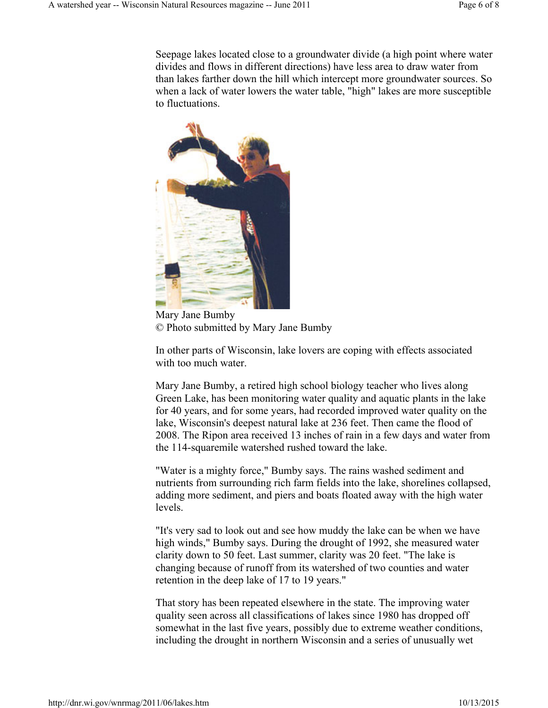Seepage lakes located close to a groundwater divide (a high point where water divides and flows in different directions) have less area to draw water from than lakes farther down the hill which intercept more groundwater sources. So when a lack of water lowers the water table, "high" lakes are more susceptible to fluctuations.



Mary Jane Bumby © Photo submitted by Mary Jane Bumby

In other parts of Wisconsin, lake lovers are coping with effects associated with too much water.

Mary Jane Bumby, a retired high school biology teacher who lives along Green Lake, has been monitoring water quality and aquatic plants in the lake for 40 years, and for some years, had recorded improved water quality on the lake, Wisconsin's deepest natural lake at 236 feet. Then came the flood of 2008. The Ripon area received 13 inches of rain in a few days and water from the 114-squaremile watershed rushed toward the lake.

"Water is a mighty force," Bumby says. The rains washed sediment and nutrients from surrounding rich farm fields into the lake, shorelines collapsed, adding more sediment, and piers and boats floated away with the high water levels.

"It's very sad to look out and see how muddy the lake can be when we have high winds," Bumby says. During the drought of 1992, she measured water clarity down to 50 feet. Last summer, clarity was 20 feet. "The lake is changing because of runoff from its watershed of two counties and water retention in the deep lake of 17 to 19 years."

That story has been repeated elsewhere in the state. The improving water quality seen across all classifications of lakes since 1980 has dropped off somewhat in the last five years, possibly due to extreme weather conditions, including the drought in northern Wisconsin and a series of unusually wet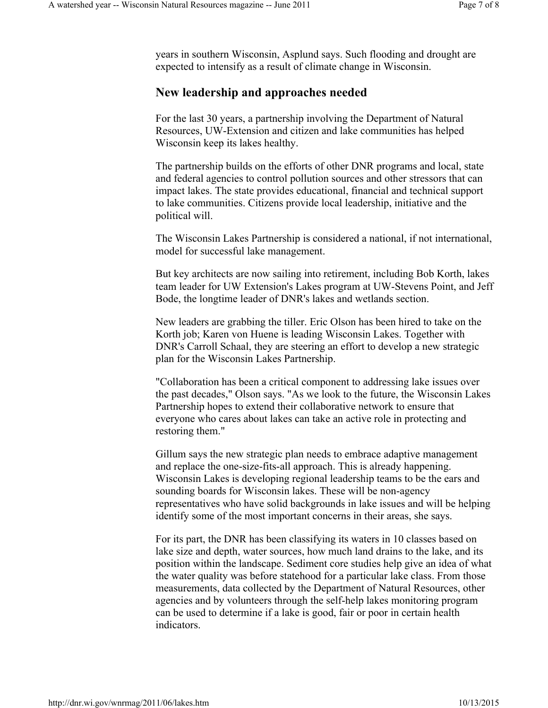years in southern Wisconsin, Asplund says. Such flooding and drought are expected to intensify as a result of climate change in Wisconsin.

## **New leadership and approaches needed**

For the last 30 years, a partnership involving the Department of Natural Resources, UW-Extension and citizen and lake communities has helped Wisconsin keep its lakes healthy.

The partnership builds on the efforts of other DNR programs and local, state and federal agencies to control pollution sources and other stressors that can impact lakes. The state provides educational, financial and technical support to lake communities. Citizens provide local leadership, initiative and the political will.

The Wisconsin Lakes Partnership is considered a national, if not international, model for successful lake management.

But key architects are now sailing into retirement, including Bob Korth, lakes team leader for UW Extension's Lakes program at UW-Stevens Point, and Jeff Bode, the longtime leader of DNR's lakes and wetlands section.

New leaders are grabbing the tiller. Eric Olson has been hired to take on the Korth job; Karen von Huene is leading Wisconsin Lakes. Together with DNR's Carroll Schaal, they are steering an effort to develop a new strategic plan for the Wisconsin Lakes Partnership.

"Collaboration has been a critical component to addressing lake issues over the past decades," Olson says. "As we look to the future, the Wisconsin Lakes Partnership hopes to extend their collaborative network to ensure that everyone who cares about lakes can take an active role in protecting and restoring them."

Gillum says the new strategic plan needs to embrace adaptive management and replace the one-size-fits-all approach. This is already happening. Wisconsin Lakes is developing regional leadership teams to be the ears and sounding boards for Wisconsin lakes. These will be non-agency representatives who have solid backgrounds in lake issues and will be helping identify some of the most important concerns in their areas, she says.

For its part, the DNR has been classifying its waters in 10 classes based on lake size and depth, water sources, how much land drains to the lake, and its position within the landscape. Sediment core studies help give an idea of what the water quality was before statehood for a particular lake class. From those measurements, data collected by the Department of Natural Resources, other agencies and by volunteers through the self-help lakes monitoring program can be used to determine if a lake is good, fair or poor in certain health indicators.